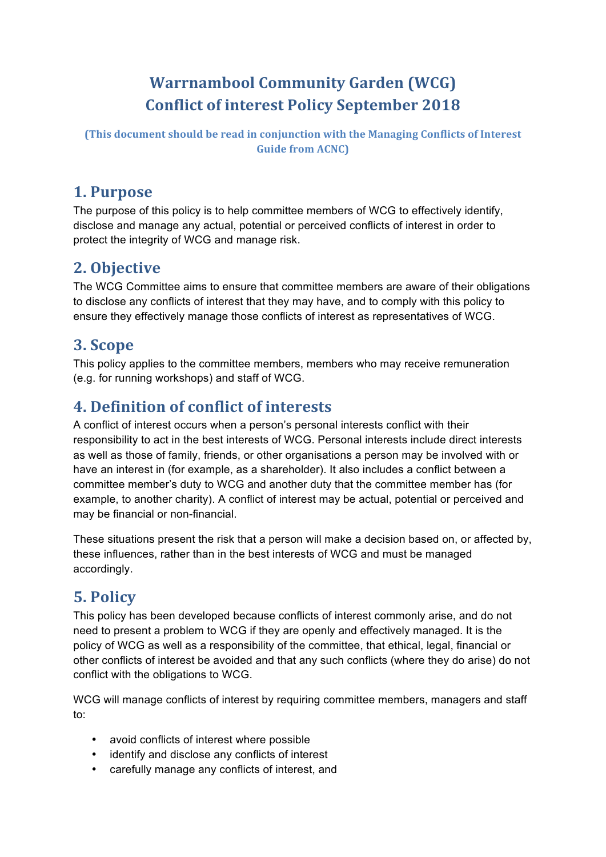# **Warrnambool Community Garden (WCG) Conflict of interest Policy September 2018**

**(This document should be read in conjunction with the Managing Conflicts of Interest Guide from ACNC)** 

### **1. Purpose**

The purpose of this policy is to help committee members of WCG to effectively identify, disclose and manage any actual, potential or perceived conflicts of interest in order to protect the integrity of WCG and manage risk.

## **2. Objective**

The WCG Committee aims to ensure that committee members are aware of their obligations to disclose any conflicts of interest that they may have, and to comply with this policy to ensure they effectively manage those conflicts of interest as representatives of WCG.

### **3. Scope**

This policy applies to the committee members, members who may receive remuneration (e.g. for running workshops) and staff of WCG.

### **4.** Definition of conflict of interests

A conflict of interest occurs when a person's personal interests conflict with their responsibility to act in the best interests of WCG. Personal interests include direct interests as well as those of family, friends, or other organisations a person may be involved with or have an interest in (for example, as a shareholder). It also includes a conflict between a committee member's duty to WCG and another duty that the committee member has (for example, to another charity). A conflict of interest may be actual, potential or perceived and may be financial or non-financial.

These situations present the risk that a person will make a decision based on, or affected by, these influences, rather than in the best interests of WCG and must be managed accordingly.

## **5. Policy**

This policy has been developed because conflicts of interest commonly arise, and do not need to present a problem to WCG if they are openly and effectively managed. It is the policy of WCG as well as a responsibility of the committee, that ethical, legal, financial or other conflicts of interest be avoided and that any such conflicts (where they do arise) do not conflict with the obligations to WCG.

WCG will manage conflicts of interest by requiring committee members, managers and staff to:

- avoid conflicts of interest where possible
- identify and disclose any conflicts of interest
- carefully manage any conflicts of interest, and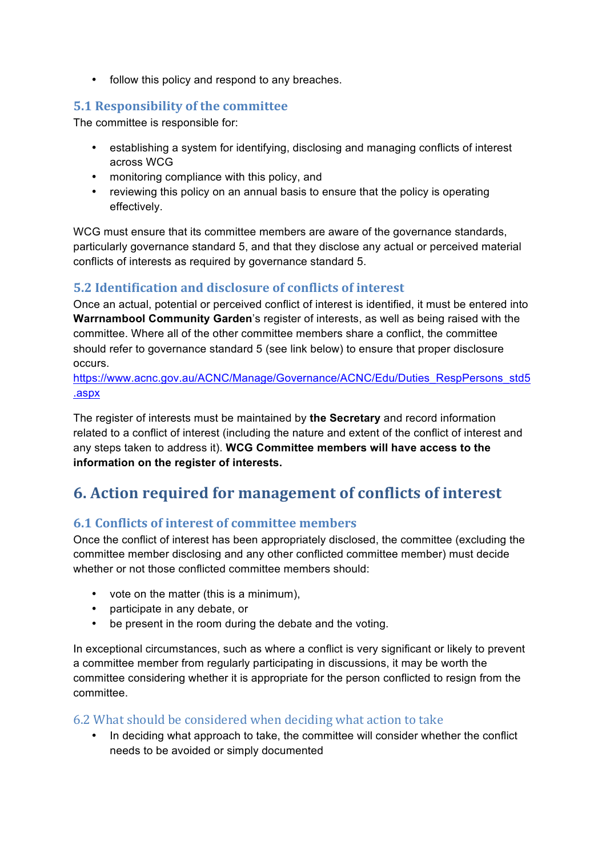• follow this policy and respond to any breaches.

#### **5.1 Responsibility of the committee**

The committee is responsible for:

- establishing a system for identifying, disclosing and managing conflicts of interest across WCG
- monitoring compliance with this policy, and
- reviewing this policy on an annual basis to ensure that the policy is operating effectively.

WCG must ensure that its committee members are aware of the governance standards, particularly governance standard 5, and that they disclose any actual or perceived material conflicts of interests as required by governance standard 5.

#### **5.2 Identification and disclosure of conflicts of interest**

Once an actual, potential or perceived conflict of interest is identified, it must be entered into **Warrnambool Community Garden**'s register of interests, as well as being raised with the committee. Where all of the other committee members share a conflict, the committee should refer to governance standard 5 (see link below) to ensure that proper disclosure occurs.

https://www.acnc.gov.au/ACNC/Manage/Governance/ACNC/Edu/Duties\_RespPersons\_std5 .aspx

The register of interests must be maintained by **the Secretary** and record information related to a conflict of interest (including the nature and extent of the conflict of interest and any steps taken to address it). **WCG Committee members will have access to the information on the register of interests.** 

## **6.** Action required for management of conflicts of interest

#### **6.1 Conflicts of interest of committee members**

Once the conflict of interest has been appropriately disclosed, the committee (excluding the committee member disclosing and any other conflicted committee member) must decide whether or not those conflicted committee members should:

- vote on the matter (this is a minimum),
- participate in any debate, or
- be present in the room during the debate and the voting.

In exceptional circumstances, such as where a conflict is very significant or likely to prevent a committee member from regularly participating in discussions, it may be worth the committee considering whether it is appropriate for the person conflicted to resign from the committee.

#### 6.2 What should be considered when deciding what action to take

• In deciding what approach to take, the committee will consider whether the conflict needs to be avoided or simply documented